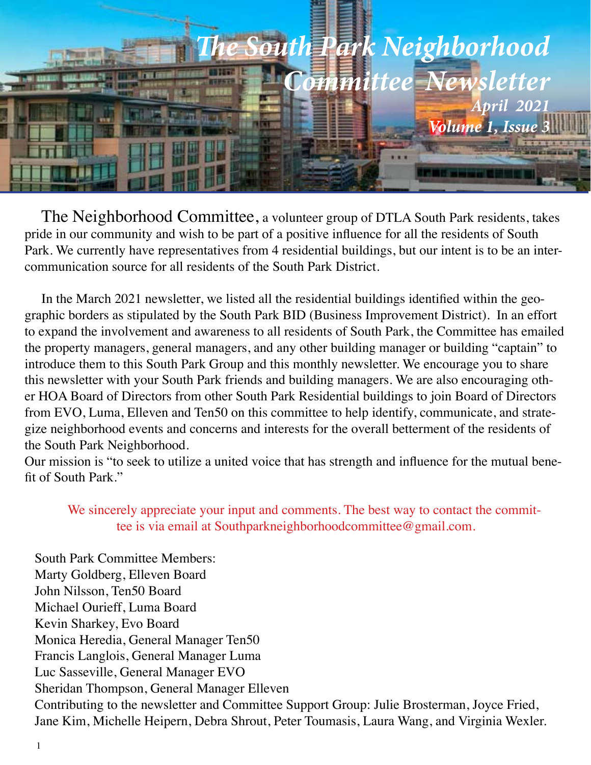

 The Neighborhood Committee, a volunteer group of DTLA South Park residents, takes pride in our community and wish to be part of a positive influence for all the residents of South Park. We currently have representatives from 4 residential buildings, but our intent is to be an intercommunication source for all residents of the South Park District.

 In the March 2021 newsletter, we listed all the residential buildings identified within the geographic borders as stipulated by the South Park BID (Business Improvement District). In an effort to expand the involvement and awareness to all residents of South Park, the Committee has emailed the property managers, general managers, and any other building manager or building "captain" to introduce them to this South Park Group and this monthly newsletter. We encourage you to share this newsletter with your South Park friends and building managers. We are also encouraging other HOA Board of Directors from other South Park Residential buildings to join Board of Directors from EVO, Luma, Elleven and Ten50 on this committee to help identify, communicate, and strategize neighborhood events and concerns and interests for the overall betterment of the residents of the South Park Neighborhood.

Our mission is "to seek to utilize a united voice that has strength and influence for the mutual benefit of South Park."

 We sincerely appreciate your input and comments. The best way to contact the committee is via email at Southparkneighborhoodcommittee@gmail.com.

 South Park Committee Members: Marty Goldberg, Elleven Board John Nilsson, Ten50 Board Michael Ourieff, Luma Board Kevin Sharkey, Evo Board Monica Heredia, General Manager Ten50 Francis Langlois, General Manager Luma Luc Sasseville, General Manager EVO Sheridan Thompson, General Manager Elleven Contributing to the newsletter and Committee Support Group: Julie Brosterman, Joyce Fried, Jane Kim, Michelle Heipern, Debra Shrout, Peter Toumasis, Laura Wang, and Virginia Wexler.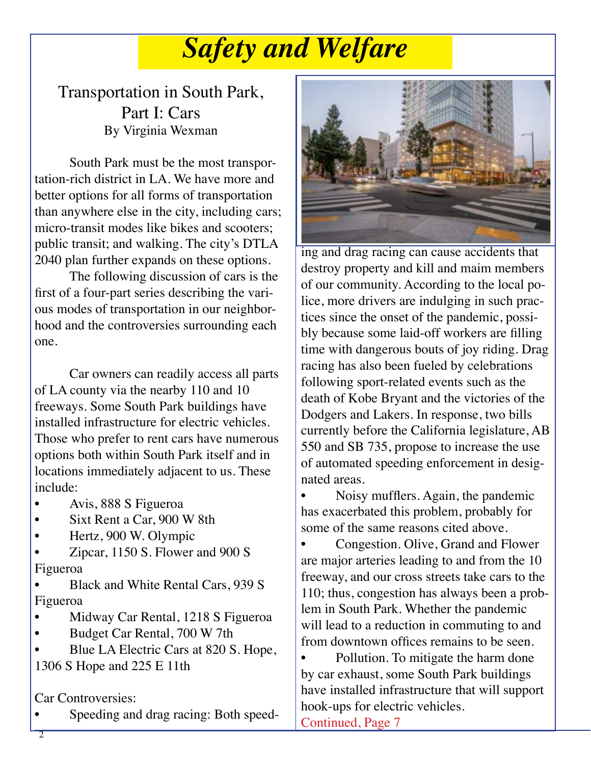# *Safety and Welfare*

## Transportation in South Park, Part I: Cars By Virginia Wexman

South Park must be the most transportation-rich district in LA. We have more and better options for all forms of transportation than anywhere else in the city, including cars; micro-transit modes like bikes and scooters; public transit; and walking. The city's DTLA 2040 plan further expands on these options.

The following discussion of cars is the first of a four-part series describing the various modes of transportation in our neighborhood and the controversies surrounding each one.

Car owners can readily access all parts of LA county via the nearby 110 and 10 freeways. Some South Park buildings have installed infrastructure for electric vehicles. Those who prefer to rent cars have numerous options both within South Park itself and in locations immediately adjacent to us. These include:

- Avis, 888 S Figueroa
- Sixt Rent a Car, 900 W 8th
- Hertz, 900 W. Olympic

• Zipcar, 1150 S. Flower and 900 S Figueroa

• Black and White Rental Cars, 939 S Figueroa

- Midway Car Rental, 1218 S Figueroa
- Budget Car Rental, 700 W 7th
- Blue LA Electric Cars at 820 S. Hope, 1306 S Hope and 225 E 11th

Car Controversies:

• Speeding and drag racing: Both speed-



ing and drag racing can cause accidents that destroy property and kill and maim members of our community. According to the local police, more drivers are indulging in such practices since the onset of the pandemic, possibly because some laid-off workers are filling time with dangerous bouts of joy riding. Drag racing has also been fueled by celebrations following sport-related events such as the death of Kobe Bryant and the victories of the Dodgers and Lakers. In response, two bills currently before the California legislature, AB 550 and SB 735, propose to increase the use of automated speeding enforcement in designated areas.

• Noisy mufflers. Again, the pandemic has exacerbated this problem, probably for some of the same reasons cited above.

• Congestion. Olive, Grand and Flower are major arteries leading to and from the 10 freeway, and our cross streets take cars to the 110; thus, congestion has always been a problem in South Park. Whether the pandemic will lead to a reduction in commuting to and from downtown offices remains to be seen.

• Pollution. To mitigate the harm done by car exhaust, some South Park buildings have installed infrastructure that will support hook-ups for electric vehicles.

Continued, Page 7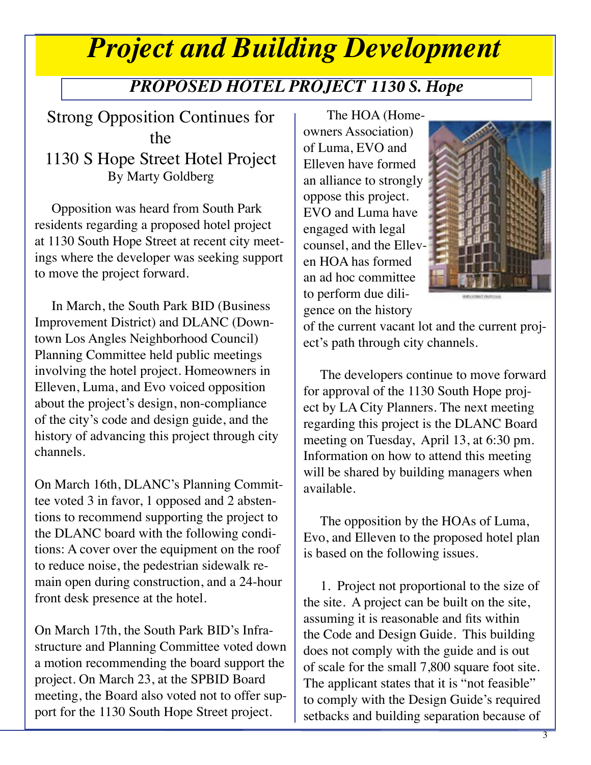## *Project and Building Development*

## *PROPOSED HOTEL PROJECT 1130 S. Hope*

Strong Opposition Continues for the 1130 S Hope Street Hotel Project By Marty Goldberg

 Opposition was heard from South Park residents regarding a proposed hotel project at 1130 South Hope Street at recent city meetings where the developer was seeking support to move the project forward.

 In March, the South Park BID (Business Improvement District) and DLANC (Downtown Los Angles Neighborhood Council) Planning Committee held public meetings involving the hotel project. Homeowners in Elleven, Luma, and Evo voiced opposition about the project's design, non-compliance of the city's code and design guide, and the history of advancing this project through city channels.

On March 16th, DLANC's Planning Committee voted 3 in favor, 1 opposed and 2 abstentions to recommend supporting the project to the DLANC board with the following conditions: A cover over the equipment on the roof to reduce noise, the pedestrian sidewalk remain open during construction, and a 24-hour front desk presence at the hotel.

On March 17th, the South Park BID's Infrastructure and Planning Committee voted down a motion recommending the board support the project. On March 23, at the SPBID Board meeting, the Board also voted not to offer support for the 1130 South Hope Street project.

 The HOA (Homeowners Association) of Luma, EVO and Elleven have formed an alliance to strongly oppose this project. EVO and Luma have engaged with legal counsel, and the Elleven HOA has formed an ad hoc committee to perform due diligence on the history



of the current vacant lot and the current project's path through city channels.

 The developers continue to move forward for approval of the 1130 South Hope project by LA City Planners. The next meeting regarding this project is the DLANC Board meeting on Tuesday, April 13, at 6:30 pm. Information on how to attend this meeting will be shared by building managers when available.

 The opposition by the HOAs of Luma, Evo, and Elleven to the proposed hotel plan is based on the following issues.

 1. Project not proportional to the size of the site. A project can be built on the site, assuming it is reasonable and fits within the Code and Design Guide. This building does not comply with the guide and is out of scale for the small 7,800 square foot site. The applicant states that it is "not feasible" to comply with the Design Guide's required setbacks and building separation because of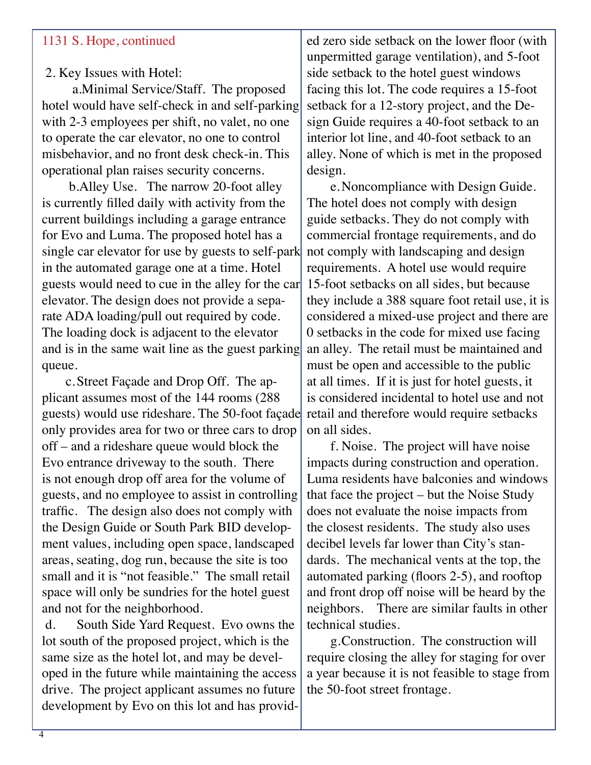#### 1131 S. Hope, continued

#### 2. Key Issues with Hotel:

 a.Minimal Service/Staff. The proposed hotel would have self-check in and self-parking with 2-3 employees per shift, no valet, no one to operate the car elevator, no one to control misbehavior, and no front desk check-in. This operational plan raises security concerns.

 b.Alley Use. The narrow 20-foot alley is currently filled daily with activity from the current buildings including a garage entrance for Evo and Luma. The proposed hotel has a single car elevator for use by guests to self-park in the automated garage one at a time. Hotel guests would need to cue in the alley for the car elevator. The design does not provide a separate ADA loading/pull out required by code. The loading dock is adjacent to the elevator and is in the same wait line as the guest parking queue.

 c.Street Façade and Drop Off. The applicant assumes most of the 144 rooms (288 guests) would use rideshare. The 50-foot façade only provides area for two or three cars to drop off – and a rideshare queue would block the Evo entrance driveway to the south. There is not enough drop off area for the volume of guests, and no employee to assist in controlling traffic. The design also does not comply with the Design Guide or South Park BID development values, including open space, landscaped areas, seating, dog run, because the site is too small and it is "not feasible." The small retail space will only be sundries for the hotel guest and not for the neighborhood.

 d. South Side Yard Request. Evo owns the lot south of the proposed project, which is the same size as the hotel lot, and may be developed in the future while maintaining the access drive. The project applicant assumes no future development by Evo on this lot and has provid-

ed zero side setback on the lower floor (with unpermitted garage ventilation), and 5-foot side setback to the hotel guest windows facing this lot. The code requires a 15-foot setback for a 12-story project, and the Design Guide requires a 40-foot setback to an interior lot line, and 40-foot setback to an alley. None of which is met in the proposed design.

 e.Noncompliance with Design Guide. The hotel does not comply with design guide setbacks. They do not comply with commercial frontage requirements, and do not comply with landscaping and design requirements. A hotel use would require 15-foot setbacks on all sides, but because they include a 388 square foot retail use, it is considered a mixed-use project and there are 0 setbacks in the code for mixed use facing an alley. The retail must be maintained and must be open and accessible to the public at all times. If it is just for hotel guests, it is considered incidental to hotel use and not retail and therefore would require setbacks on all sides.

 f. Noise. The project will have noise impacts during construction and operation. Luma residents have balconies and windows that face the project – but the Noise Study does not evaluate the noise impacts from the closest residents. The study also uses decibel levels far lower than City's standards. The mechanical vents at the top, the automated parking (floors 2-5), and rooftop and front drop off noise will be heard by the neighbors. There are similar faults in other technical studies.

 g.Construction. The construction will require closing the alley for staging for over a year because it is not feasible to stage from the 50-foot street frontage.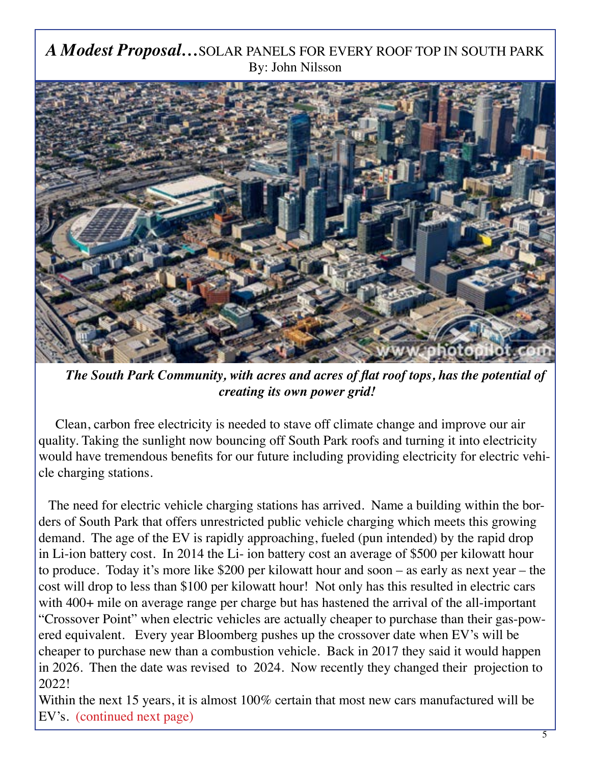### *A Modest Proposal…*SOLAR PANELS FOR EVERY ROOF TOP IN SOUTH PARK By: John Nilsson



 *The South Park Community, with acres and acres of flat roof tops, has the potential of creating its own power grid!*

 Clean, carbon free electricity is needed to stave off climate change and improve our air quality. Taking the sunlight now bouncing off South Park roofs and turning it into electricity would have tremendous benefits for our future including providing electricity for electric vehicle charging stations.

 The need for electric vehicle charging stations has arrived. Name a building within the borders of South Park that offers unrestricted public vehicle charging which meets this growing demand. The age of the EV is rapidly approaching, fueled (pun intended) by the rapid drop in Li-ion battery cost. In 2014 the Li- ion battery cost an average of \$500 per kilowatt hour to produce. Today it's more like \$200 per kilowatt hour and soon – as early as next year – the cost will drop to less than \$100 per kilowatt hour! Not only has this resulted in electric cars with 400+ mile on average range per charge but has hastened the arrival of the all-important "Crossover Point" when electric vehicles are actually cheaper to purchase than their gas-powered equivalent. Every year Bloomberg pushes up the crossover date when EV's will be cheaper to purchase new than a combustion vehicle. Back in 2017 they said it would happen in 2026. Then the date was revised to 2024. Now recently they changed their projection to 2022!

Within the next 15 years, it is almost 100% certain that most new cars manufactured will be EV's. (continued next page)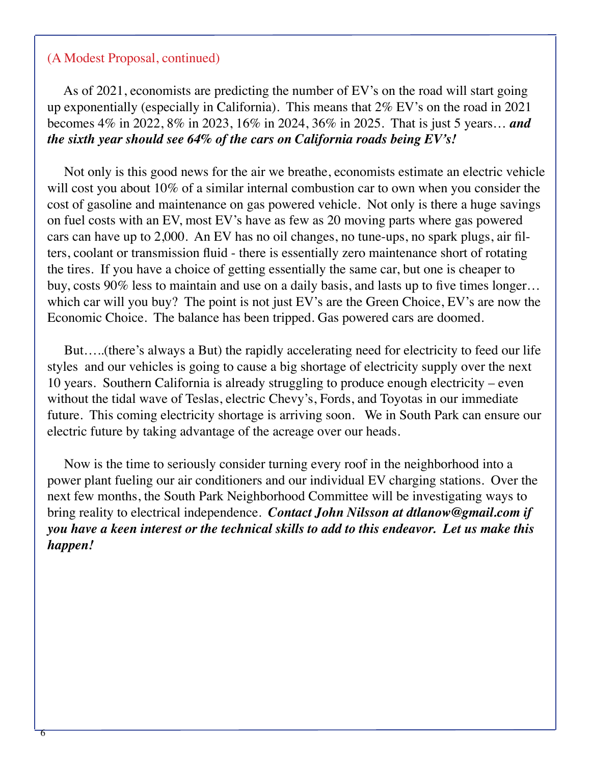#### (A Modest Proposal, continued)

 As of 2021, economists are predicting the number of EV's on the road will start going up exponentially (especially in California). This means that 2% EV's on the road in 2021 becomes 4% in 2022, 8% in 2023, 16% in 2024, 36% in 2025. That is just 5 years… *and the sixth year should see 64% of the cars on California roads being EV's!* 

 Not only is this good news for the air we breathe, economists estimate an electric vehicle will cost you about 10% of a similar internal combustion car to own when you consider the cost of gasoline and maintenance on gas powered vehicle. Not only is there a huge savings on fuel costs with an EV, most EV's have as few as 20 moving parts where gas powered cars can have up to 2,000. An EV has no oil changes, no tune-ups, no spark plugs, air filters, coolant or transmission fluid - there is essentially zero maintenance short of rotating the tires. If you have a choice of getting essentially the same car, but one is cheaper to buy, costs 90% less to maintain and use on a daily basis, and lasts up to five times longer… which car will you buy? The point is not just EV's are the Green Choice, EV's are now the Economic Choice. The balance has been tripped. Gas powered cars are doomed.

 But…..(there's always a But) the rapidly accelerating need for electricity to feed our life styles and our vehicles is going to cause a big shortage of electricity supply over the next 10 years. Southern California is already struggling to produce enough electricity – even without the tidal wave of Teslas, electric Chevy's, Fords, and Toyotas in our immediate future. This coming electricity shortage is arriving soon. We in South Park can ensure our electric future by taking advantage of the acreage over our heads.

 Now is the time to seriously consider turning every roof in the neighborhood into a power plant fueling our air conditioners and our individual EV charging stations. Over the next few months, the South Park Neighborhood Committee will be investigating ways to bring reality to electrical independence. *Contact John Nilsson at dtlanow@gmail.com if you have a keen interest or the technical skills to add to this endeavor. Let us make this happen!*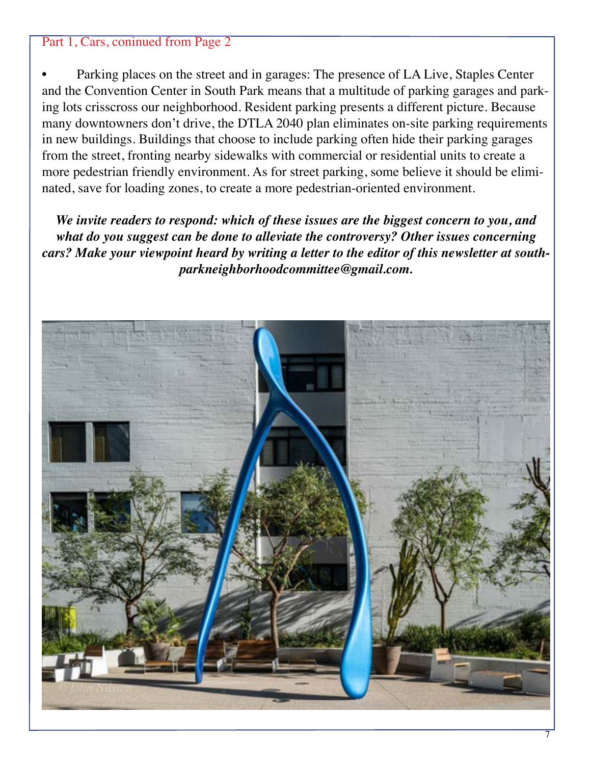#### Part 1, Cars, coninued from Page 2

Parking places on the street and in garages: The presence of LA Live, Staples Center and the Convention Center in South Park means that a multitude of parking garages and parking lots crisscross our neighborhood. Resident parking presents a different picture. Because many downtowners don't drive, the DTLA 2040 plan eliminates on-site parking requirements in new buildings. Buildings that choose to include parking often hide their parking garages from the street, fronting nearby sidewalks with commercial or residential units to create a more pedestrian friendly environment. As for street parking, some believe it should be eliminated, save for loading zones, to create a more pedestrian-oriented environment.

*We invite readers to respond: which of these issues are the biggest concern to you, and what do you suggest can be done to alleviate the controversy? Other issues concerning cars? Make your viewpoint heard by writing a letter to the editor of this newsletter at southparkneighborhoodcommittee@gmail.com.*

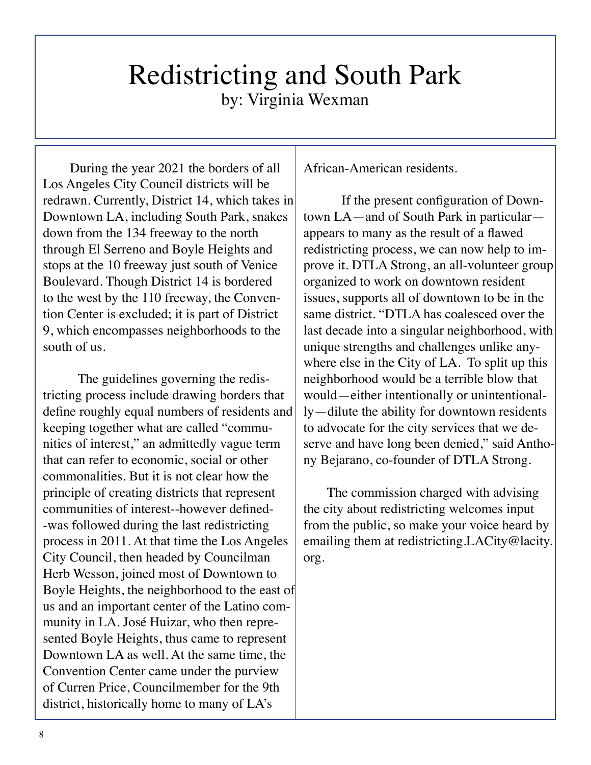## Redistricting and South Park by: Virginia Wexman

 During the year 2021 the borders of all Los Angeles City Council districts will be redrawn. Currently, District 14, which takes in Downtown LA, including South Park, snakes down from the 134 freeway to the north through El Serreno and Boyle Heights and stops at the 10 freeway just south of Venice Boulevard. Though District 14 is bordered to the west by the 110 freeway, the Convention Center is excluded; it is part of District 9, which encompasses neighborhoods to the south of us.

The guidelines governing the redistricting process include drawing borders that define roughly equal numbers of residents and keeping together what are called "communities of interest," an admittedly vague term that can refer to economic, social or other commonalities. But it is not clear how the principle of creating districts that represent communities of interest--however defined- -was followed during the last redistricting process in 2011. At that time the Los Angeles City Council, then headed by Councilman Herb Wesson, joined most of Downtown to Boyle Heights, the neighborhood to the east of us and an important center of the Latino community in LA. José Huizar, who then represented Boyle Heights, thus came to represent Downtown LA as well. At the same time, the Convention Center came under the purview of Curren Price, Councilmember for the 9th district, historically home to many of LA's

African-American residents.

 If the present configuration of Downtown LA—and of South Park in particular appears to many as the result of a flawed redistricting process, we can now help to improve it. DTLA Strong, an all-volunteer group organized to work on downtown resident issues, supports all of downtown to be in the same district. "DTLA has coalesced over the last decade into a singular neighborhood, with unique strengths and challenges unlike anywhere else in the City of LA. To split up this neighborhood would be a terrible blow that would—either intentionally or unintentionally—dilute the ability for downtown residents to advocate for the city services that we deserve and have long been denied," said Anthony Bejarano, co-founder of DTLA Strong.

 The commission charged with advising the city about redistricting welcomes input from the public, so make your voice heard by emailing them at redistricting.LACity@lacity. org.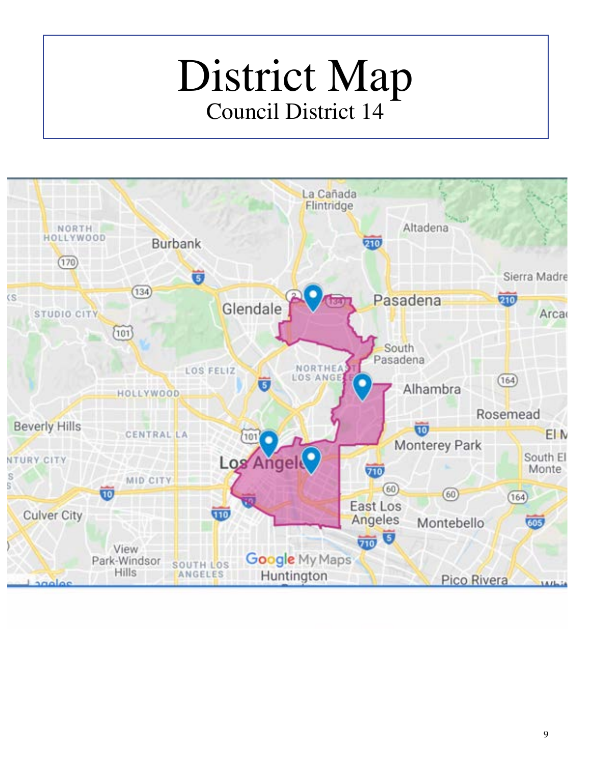# District Map Council District 14

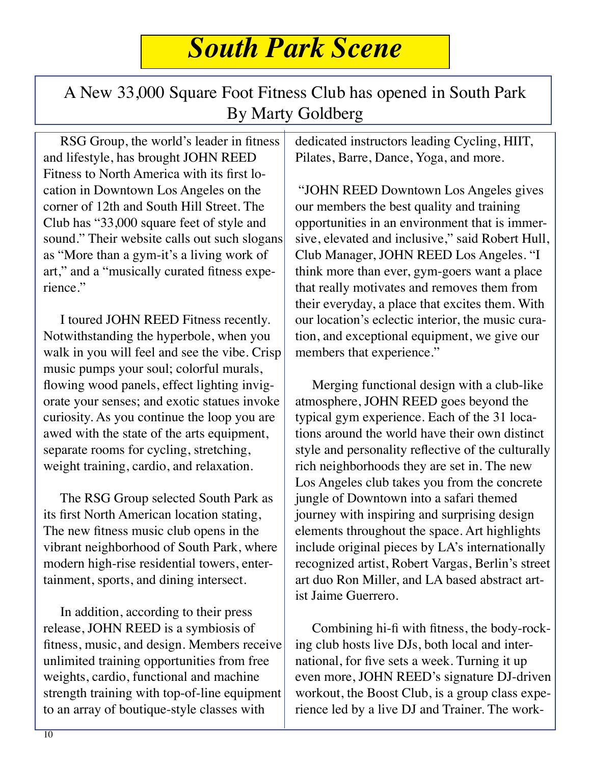A New 33,000 Square Foot Fitness Club has opened in South Park By Marty Goldberg

 RSG Group, the world's leader in fitness and lifestyle, has brought JOHN REED Fitness to North America with its first location in Downtown Los Angeles on the corner of 12th and South Hill Street. The Club has "33,000 square feet of style and sound." Their website calls out such slogans as "More than a gym-it's a living work of art," and a "musically curated fitness experience."

 I toured JOHN REED Fitness recently. Notwithstanding the hyperbole, when you walk in you will feel and see the vibe. Crisp music pumps your soul; colorful murals, flowing wood panels, effect lighting invigorate your senses; and exotic statues invoke curiosity. As you continue the loop you are awed with the state of the arts equipment, separate rooms for cycling, stretching, weight training, cardio, and relaxation.

 The RSG Group selected South Park as its first North American location stating, The new fitness music club opens in the vibrant neighborhood of South Park, where modern high-rise residential towers, entertainment, sports, and dining intersect.

 In addition, according to their press release, JOHN REED is a symbiosis of fitness, music, and design. Members receive unlimited training opportunities from free weights, cardio, functional and machine strength training with top-of-line equipment to an array of boutique-style classes with

dedicated instructors leading Cycling, HIIT, Pilates, Barre, Dance, Yoga, and more.

 "JOHN REED Downtown Los Angeles gives our members the best quality and training opportunities in an environment that is immersive, elevated and inclusive," said Robert Hull, Club Manager, JOHN REED Los Angeles. "I think more than ever, gym-goers want a place that really motivates and removes them from their everyday, a place that excites them. With our location's eclectic interior, the music curation, and exceptional equipment, we give our members that experience."

 Merging functional design with a club-like atmosphere, JOHN REED goes beyond the typical gym experience. Each of the 31 locations around the world have their own distinct style and personality reflective of the culturally rich neighborhoods they are set in. The new Los Angeles club takes you from the concrete jungle of Downtown into a safari themed journey with inspiring and surprising design elements throughout the space. Art highlights include original pieces by LA's internationally recognized artist, Robert Vargas, Berlin's street art duo Ron Miller, and LA based abstract artist Jaime Guerrero.

 Combining hi-fi with fitness, the body-rocking club hosts live DJs, both local and international, for five sets a week. Turning it up even more, JOHN REED's signature DJ-driven workout, the Boost Club, is a group class experience led by a live DJ and Trainer. The work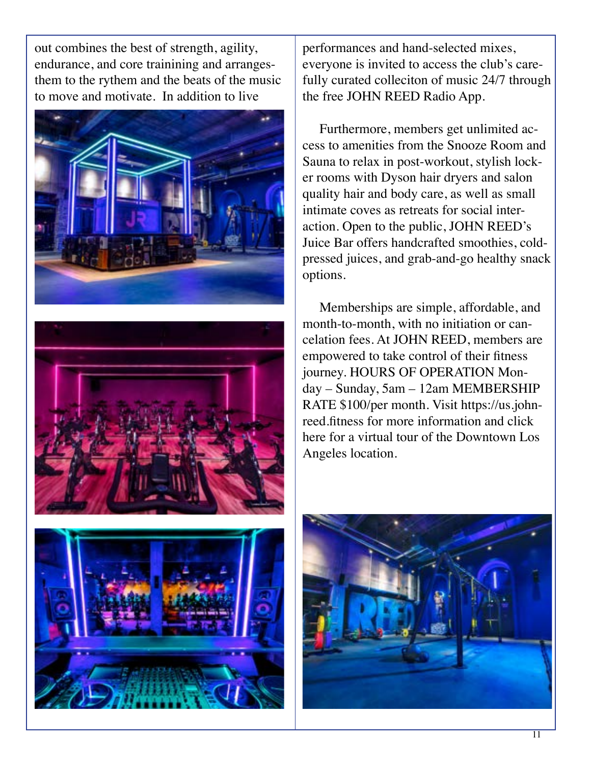out combines the best of strength, agility, endurance, and core trainining and arrangesthem to the rythem and the beats of the music to move and motivate. In addition to live





performances and hand-selected mixes, everyone is invited to access the club's carefully curated colleciton of music 24/7 through the free JOHN REED Radio App.

 Furthermore, members get unlimited access to amenities from the Snooze Room and Sauna to relax in post-workout, stylish locker rooms with Dyson hair dryers and salon quality hair and body care, as well as small intimate coves as retreats for social interaction. Open to the public, JOHN REED's Juice Bar offers handcrafted smoothies, coldpressed juices, and grab-and-go healthy snack options.

 Memberships are simple, affordable, and month-to-month, with no initiation or cancelation fees. At JOHN REED, members are empowered to take control of their fitness journey. HOURS OF OPERATION Monday – Sunday, 5am – 12am MEMBERSHIP RATE \$100/per month. Visit https://us.johnreed.fitness for more information and click here for a virtual tour of the Downtown Los Angeles location.



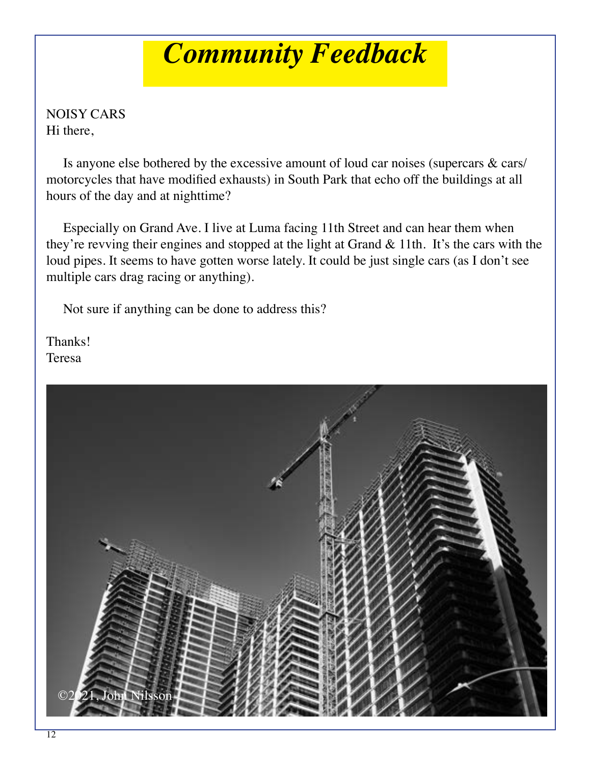# *Community Feedback*

NOISY CARS Hi there,

 Is anyone else bothered by the excessive amount of loud car noises (supercars & cars/ motorcycles that have modified exhausts) in South Park that echo off the buildings at all hours of the day and at nighttime?

 Especially on Grand Ave. I live at Luma facing 11th Street and can hear them when they're revving their engines and stopped at the light at Grand & 11th. It's the cars with the loud pipes. It seems to have gotten worse lately. It could be just single cars (as I don't see multiple cars drag racing or anything).

Not sure if anything can be done to address this?

Thanks! Teresa